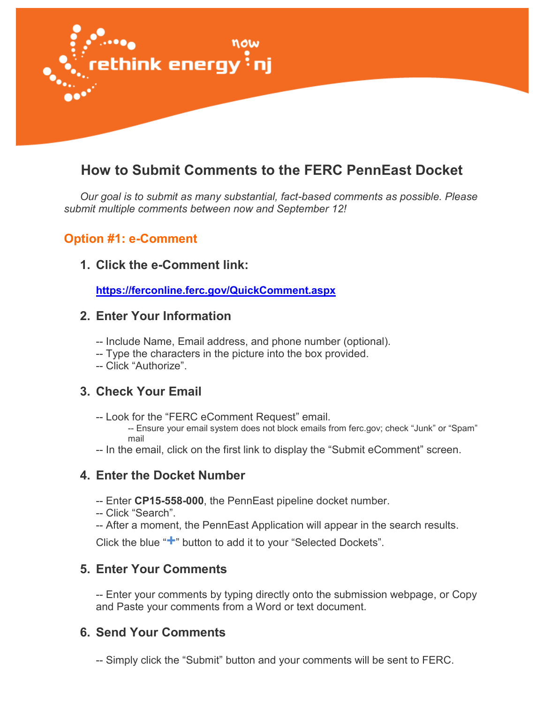

# **How to Submit Comments to the FERC PennEast Docket**

*Our goal is to submit as many substantial, fact-based comments as possible. Please submit multiple comments between now and September 12!*

#### **Option #1: e-Comment**

#### **1. Click the e-Comment link:**

**<https://ferconline.ferc.gov/QuickComment.aspx>**

#### **2. Enter Your Information**

- -- Include Name, Email address, and phone number (optional).
- -- Type the characters in the picture into the box provided.
- -- Click "Authorize".

#### **3. Check Your Email**

-- Look for the "FERC eComment Request" email.

-- Ensure your email system does not block emails from ferc.gov; check "Junk" or "Spam" mail

-- In the email, click on the first link to display the "Submit eComment" screen.

#### **4. Enter the Docket Number**

- -- Enter **CP15-558-000**, the PennEast pipeline docket number.
- -- Click "Search".
- -- After a moment, the PennEast Application will appear in the search results.

Click the blue "**+**" button to add it to your "Selected Dockets".

#### **5. Enter Your Comments**

-- Enter your comments by typing directly onto the submission webpage, or Copy and Paste your comments from a Word or text document.

#### **6. Send Your Comments**

-- Simply click the "Submit" button and your comments will be sent to FERC.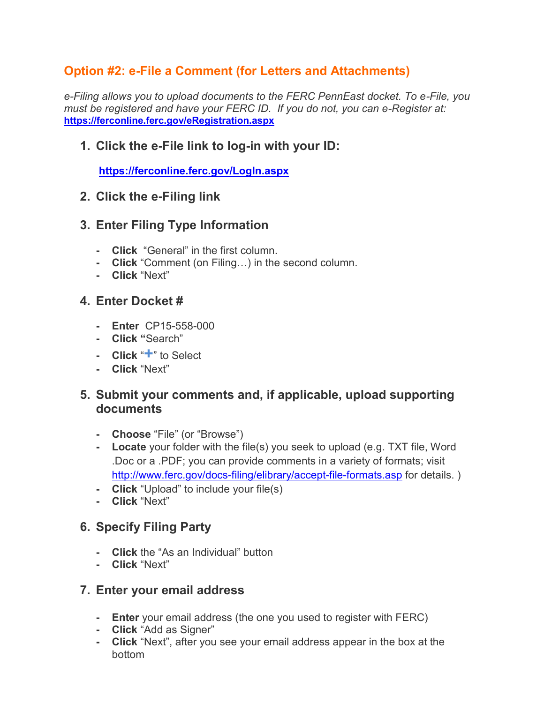# **Option #2: e-File a Comment (for Letters and Attachments)**

*e-Filing allows you to upload documents to the FERC PennEast docket. To e-File, you must be registered and have your FERC ID. If you do not, you can e-Register at:* **<https://ferconline.ferc.gov/eRegistration.aspx>**

#### **1. Click the e-File link to log-in with your ID:**

**<https://ferconline.ferc.gov/LogIn.aspx>**

#### **2. Click the e-Filing link**

#### **3. Enter Filing Type Information**

- **- Click** "General" in the first column.
- **- Click** "Comment (on Filing…) in the second column.
- **- Click** "Next"

#### **4. Enter Docket #**

- **- Enter** CP15-558-000
- **- Click "**Search"
- **- Click** "**+**" to Select
- **- Click** "Next"

#### **5. Submit your comments and, if applicable, upload supporting documents**

- **- Choose** "File" (or "Browse")
- **- Locate** your folder with the file(s) you seek to upload (e.g. TXT file, Word .Doc or a .PDF; you can provide comments in a variety of formats; visit <http://www.ferc.gov/docs-filing/elibrary/accept-file-formats.asp> for details. )
- **- Click** "Upload" to include your file(s)
- **- Click** "Next"

## **6. Specify Filing Party**

- **- Click** the "As an Individual" button
- **- Click** "Next"

#### **7. Enter your email address**

- **- Enter** your email address (the one you used to register with FERC)
- **- Click** "Add as Signer"
- **- Click** "Next", after you see your email address appear in the box at the bottom